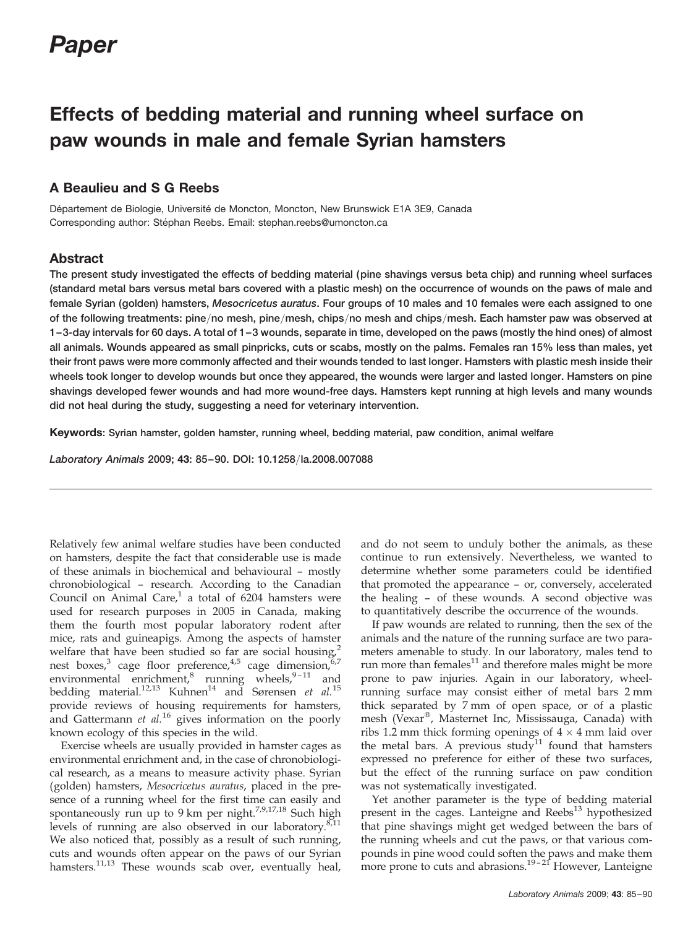# Paper

# Effects of bedding material and running wheel surface on paw wounds in male and female Syrian hamsters

# A Beaulieu and S G Reebs

Département de Biologie, Université de Moncton, Moncton, New Brunswick E1A 3E9, Canada Corresponding author: Stéphan Reebs. Email: stephan.reebs@umoncton.ca

# Abstract

The present study investigated the effects of bedding material (pine shavings versus beta chip) and running wheel surfaces (standard metal bars versus metal bars covered with a plastic mesh) on the occurrence of wounds on the paws of male and female Syrian (golden) hamsters, Mesocricetus auratus. Four groups of 10 males and 10 females were each assigned to one of the following treatments: pine/no mesh, pine/mesh, chips/no mesh and chips/mesh. Each hamster paw was observed at 1–3-day intervals for 60 days. A total of 1–3 wounds, separate in time, developed on the paws (mostly the hind ones) of almost all animals. Wounds appeared as small pinpricks, cuts or scabs, mostly on the palms. Females ran 15% less than males, yet their front paws were more commonly affected and their wounds tended to last longer. Hamsters with plastic mesh inside their wheels took longer to develop wounds but once they appeared, the wounds were larger and lasted longer. Hamsters on pine shavings developed fewer wounds and had more wound-free days. Hamsters kept running at high levels and many wounds did not heal during the study, suggesting a need for veterinary intervention.

Keywords: Syrian hamster, golden hamster, running wheel, bedding material, paw condition, animal welfare

Laboratory Animals 2009; 43: 85–90. DOI: 10.1258/la.2008.007088

Relatively few animal welfare studies have been conducted on hamsters, despite the fact that considerable use is made of these animals in biochemical and behavioural – mostly chronobiological – research. According to the Canadian Council on Animal Care, $1$  a total of 6204 hamsters were used for research purposes in 2005 in Canada, making them the fourth most popular laboratory rodent after mice, rats and guineapigs. Among the aspects of hamster welfare that have been studied so far are social housing,<sup>2</sup> nest boxes,<sup>3</sup> cage floor preference,<sup>4,5</sup> cage dimension,<sup>6,7</sup> environmental enrichment, $8$  running wheels, $9-11$  and bedding material.<sup>12,13</sup> Kuhnen<sup>14</sup> and Sørensen et al.<sup>15</sup> provide reviews of housing requirements for hamsters, and Gattermann  $et$   $al$ .<sup>16</sup> gives information on the poorly known ecology of this species in the wild.

Exercise wheels are usually provided in hamster cages as environmental enrichment and, in the case of chronobiological research, as a means to measure activity phase. Syrian (golden) hamsters, Mesocricetus auratus, placed in the presence of a running wheel for the first time can easily and spontaneously run up to 9 km per night.<sup>7,9,17,18</sup> Such high levels of running are also observed in our laboratory. $8,11$ We also noticed that, possibly as a result of such running, cuts and wounds often appear on the paws of our Syrian hamsters.<sup>11,13</sup> These wounds scab over, eventually heal,

and do not seem to unduly bother the animals, as these continue to run extensively. Nevertheless, we wanted to determine whether some parameters could be identified that promoted the appearance – or, conversely, accelerated the healing – of these wounds. A second objective was to quantitatively describe the occurrence of the wounds.

If paw wounds are related to running, then the sex of the animals and the nature of the running surface are two parameters amenable to study. In our laboratory, males tend to run more than females $^{11}$  and therefore males might be more prone to paw injuries. Again in our laboratory, wheelrunning surface may consist either of metal bars 2 mm thick separated by 7 mm of open space, or of a plastic mesh (Vexar®, Masternet Inc, Mississauga, Canada) with ribs 1.2 mm thick forming openings of  $4 \times 4$  mm laid over the metal bars. A previous study<sup>11</sup> found that hamsters expressed no preference for either of these two surfaces, but the effect of the running surface on paw condition was not systematically investigated.

Yet another parameter is the type of bedding material present in the cages. Lanteigne and Reebs<sup>13</sup> hypothesized that pine shavings might get wedged between the bars of the running wheels and cut the paws, or that various compounds in pine wood could soften the paws and make them more prone to cuts and abrasions.<sup>19-21</sup> However, Lanteigne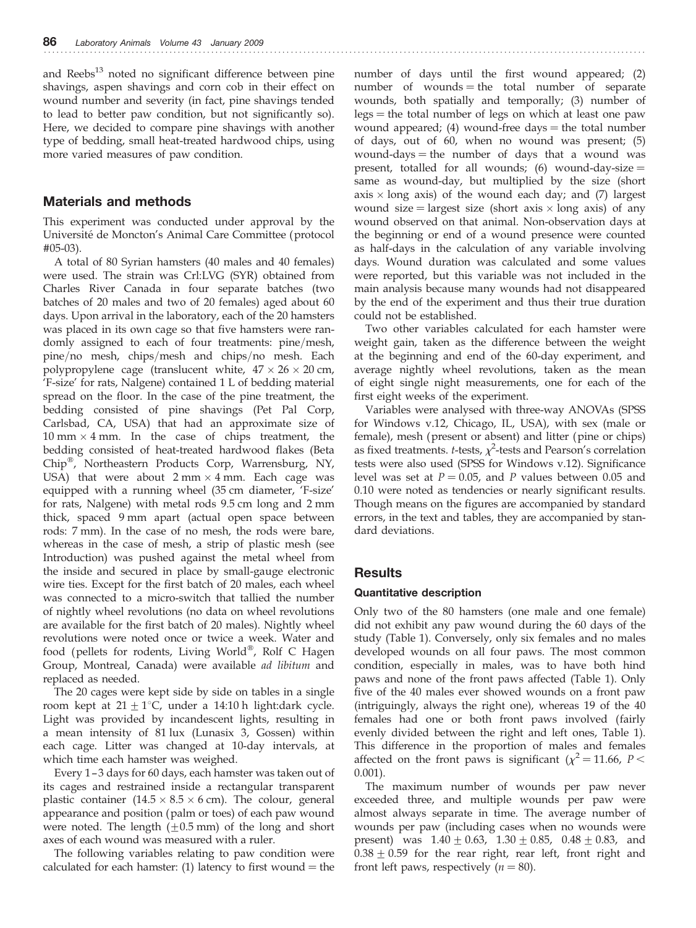and  $Reebs<sup>13</sup>$  noted no significant difference between pine shavings, aspen shavings and corn cob in their effect on wound number and severity (in fact, pine shavings tended to lead to better paw condition, but not significantly so). Here, we decided to compare pine shavings with another type of bedding, small heat-treated hardwood chips, using more varied measures of paw condition.

## Materials and methods

This experiment was conducted under approval by the Universite´ de Moncton's Animal Care Committee (protocol #05-03).

A total of 80 Syrian hamsters (40 males and 40 females) were used. The strain was Crl:LVG (SYR) obtained from Charles River Canada in four separate batches (two batches of 20 males and two of 20 females) aged about 60 days. Upon arrival in the laboratory, each of the 20 hamsters was placed in its own cage so that five hamsters were randomly assigned to each of four treatments: pine/mesh, pine/no mesh, chips/mesh and chips/no mesh. Each polypropylene cage (translucent white,  $47 \times 26 \times 20$  cm, 'F-size' for rats, Nalgene) contained 1 L of bedding material spread on the floor. In the case of the pine treatment, the bedding consisted of pine shavings (Pet Pal Corp, Carlsbad, CA, USA) that had an approximate size of  $10 \text{ mm} \times 4 \text{ mm}$ . In the case of chips treatment, the bedding consisted of heat-treated hardwood flakes (Beta Chip<sup>®</sup>, Northeastern Products Corp, Warrensburg, NY, USA) that were about  $2 \text{ mm} \times 4 \text{ mm}$ . Each cage was equipped with a running wheel (35 cm diameter, 'F-size' for rats, Nalgene) with metal rods 9.5 cm long and 2 mm thick, spaced 9 mm apart (actual open space between rods: 7 mm). In the case of no mesh, the rods were bare, whereas in the case of mesh, a strip of plastic mesh (see Introduction) was pushed against the metal wheel from the inside and secured in place by small-gauge electronic wire ties. Except for the first batch of 20 males, each wheel was connected to a micro-switch that tallied the number of nightly wheel revolutions (no data on wheel revolutions are available for the first batch of 20 males). Nightly wheel revolutions were noted once or twice a week. Water and food (pellets for rodents, Living World<sup>®</sup>, Rolf C Hagen Group, Montreal, Canada) were available ad libitum and replaced as needed.

The 20 cages were kept side by side on tables in a single room kept at  $21 \pm 1$ °C, under a 14:10 h light:dark cycle. Light was provided by incandescent lights, resulting in a mean intensity of 81 lux (Lunasix 3, Gossen) within each cage. Litter was changed at 10-day intervals, at which time each hamster was weighed.

Every 1 –3 days for 60 days, each hamster was taken out of its cages and restrained inside a rectangular transparent plastic container  $(14.5 \times 8.5 \times 6$  cm). The colour, general appearance and position (palm or toes) of each paw wound were noted. The length  $(\pm 0.5 \text{ mm})$  of the long and short axes of each wound was measured with a ruler.

The following variables relating to paw condition were calculated for each hamster: (1) latency to first wound  $=$  the

number of days until the first wound appeared; (2) number of wounds  $=$  the total number of separate wounds, both spatially and temporally; (3) number of  $\text{legs} = \text{the total number of legs on which at least one paw}$ wound appeared; (4) wound-free days  $=$  the total number of days, out of 60, when no wound was present; (5) wound-days  $=$  the number of days that a wound was present, totalled for all wounds; (6) wound-day-size  $=$ same as wound-day, but multiplied by the size (short axis  $\times$  long axis) of the wound each day; and (7) largest wound size = largest size (short axis  $\times$  long axis) of any wound observed on that animal. Non-observation days at the beginning or end of a wound presence were counted as half-days in the calculation of any variable involving days. Wound duration was calculated and some values were reported, but this variable was not included in the main analysis because many wounds had not disappeared by the end of the experiment and thus their true duration could not be established.

Two other variables calculated for each hamster were weight gain, taken as the difference between the weight at the beginning and end of the 60-day experiment, and average nightly wheel revolutions, taken as the mean of eight single night measurements, one for each of the first eight weeks of the experiment.

Variables were analysed with three-way ANOVAs (SPSS for Windows v.12, Chicago, IL, USA), with sex (male or female), mesh (present or absent) and litter (pine or chips) as fixed treatments. *t*-tests,  $\chi^2$ -tests and Pearson's correlation tests were also used (SPSS for Windows v.12). Significance level was set at  $P = 0.05$ , and P values between 0.05 and 0.10 were noted as tendencies or nearly significant results. Though means on the figures are accompanied by standard errors, in the text and tables, they are accompanied by standard deviations.

## **Results**

### Quantitative description

Only two of the 80 hamsters (one male and one female) did not exhibit any paw wound during the 60 days of the study (Table 1). Conversely, only six females and no males developed wounds on all four paws. The most common condition, especially in males, was to have both hind paws and none of the front paws affected (Table 1). Only five of the 40 males ever showed wounds on a front paw (intriguingly, always the right one), whereas 19 of the 40 females had one or both front paws involved (fairly evenly divided between the right and left ones, Table 1). This difference in the proportion of males and females affected on the front paws is significant ( $\chi^2$  = 11.66, P < 0.001).

The maximum number of wounds per paw never exceeded three, and multiple wounds per paw were almost always separate in time. The average number of wounds per paw (including cases when no wounds were present) was  $1.40 \pm 0.63$ ,  $1.30 \pm 0.85$ ,  $0.48 \pm 0.83$ , and  $0.38 \pm 0.59$  for the rear right, rear left, front right and front left paws, respectively ( $n = 80$ ).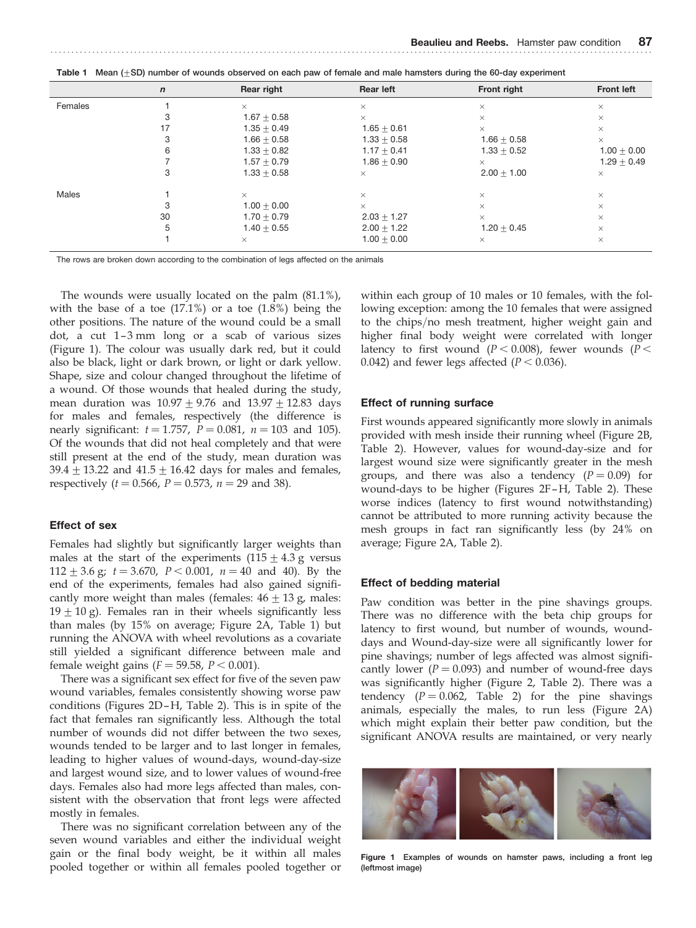| <u>table to modiff op flamber of modified oboottod on oden pantor formale and mail namotore admig the set all operations</u> |             |               |                  |               |                   |  |  |  |  |
|------------------------------------------------------------------------------------------------------------------------------|-------------|---------------|------------------|---------------|-------------------|--|--|--|--|
|                                                                                                                              | $\mathbf n$ | Rear right    | <b>Rear left</b> | Front right   | <b>Front left</b> |  |  |  |  |
| Females                                                                                                                      |             | $\times$      | $\times$         | $\times$      | $\times$          |  |  |  |  |
|                                                                                                                              |             | $1.67 + 0.58$ | $\times$         | $\times$      | $\times$          |  |  |  |  |
|                                                                                                                              |             | $1.35 + 0.49$ | $1.65 + 0.61$    | $\times$      | $\times$          |  |  |  |  |
|                                                                                                                              |             | $1.66 + 0.58$ | $1.33 + 0.58$    | $1.66 + 0.58$ | $\times$          |  |  |  |  |
|                                                                                                                              |             | $1.33 + 0.82$ | $1.17 + 0.41$    | $1.33 + 0.52$ | $1.00 + 0.00$     |  |  |  |  |
|                                                                                                                              |             | $1.57 + 0.79$ | $1.86 + 0.90$    | $\times$      | $1.29 + 0.49$     |  |  |  |  |
|                                                                                                                              |             | $1.33 + 0.58$ | $\times$         | $2.00 + 1.00$ | $\times$          |  |  |  |  |
| Males                                                                                                                        |             | $\times$      | $\times$         | $\times$      | $\times$          |  |  |  |  |
|                                                                                                                              |             | $1.00 + 0.00$ | $\times$         | $\times$      | $\times$          |  |  |  |  |
|                                                                                                                              | 30          | $1.70 + 0.79$ | $2.03 + 1.27$    | $\times$      | $\times$          |  |  |  |  |
|                                                                                                                              | 5           | $1.40 + 0.55$ | $2.00 + 1.22$    | $1.20 + 0.45$ | $\times$          |  |  |  |  |
|                                                                                                                              |             | $\times$      | $1.00 + 0.00$    | $\times$      | $\times$          |  |  |  |  |

Table 1 Mean (+SD) number of wounds observed on each paw of female and male hamsters during the 60-day experiment

The rows are broken down according to the combination of legs affected on the animals

The wounds were usually located on the palm (81.1%), with the base of a toe  $(17.1\%)$  or a toe  $(1.8\%)$  being the other positions. The nature of the wound could be a small dot, a cut 1-3 mm long or a scab of various sizes (Figure 1). The colour was usually dark red, but it could also be black, light or dark brown, or light or dark yellow. Shape, size and colour changed throughout the lifetime of a wound. Of those wounds that healed during the study, mean duration was  $10.97 \pm 9.76$  and  $13.97 \pm 12.83$  days for males and females, respectively (the difference is nearly significant:  $t = 1.757$ ,  $P = 0.081$ ,  $n = 103$  and 105). Of the wounds that did not heal completely and that were still present at the end of the study, mean duration was  $39.4 + 13.22$  and  $41.5 + 16.42$  days for males and females, respectively ( $t = 0.566$ ,  $P = 0.573$ ,  $n = 29$  and 38).

#### Effect of sex

Females had slightly but significantly larger weights than males at the start of the experiments  $(115 \pm 4.3 \text{ g}$  versus  $112 \pm 3.6$  g;  $t = 3.670$ ,  $P < 0.001$ ,  $n = 40$  and 40). By the end of the experiments, females had also gained significantly more weight than males (females:  $46 \pm 13$  g, males:  $19 \pm 10$  g). Females ran in their wheels significantly less than males (by 15% on average; Figure 2A, Table 1) but running the ANOVA with wheel revolutions as a covariate still yielded a significant difference between male and female weight gains ( $F = 59.58$ ,  $P < 0.001$ ).

There was a significant sex effect for five of the seven paw wound variables, females consistently showing worse paw conditions (Figures 2D –H, Table 2). This is in spite of the fact that females ran significantly less. Although the total number of wounds did not differ between the two sexes, wounds tended to be larger and to last longer in females, leading to higher values of wound-days, wound-day-size and largest wound size, and to lower values of wound-free days. Females also had more legs affected than males, consistent with the observation that front legs were affected mostly in females.

There was no significant correlation between any of the seven wound variables and either the individual weight gain or the final body weight, be it within all males pooled together or within all females pooled together or

within each group of 10 males or 10 females, with the following exception: among the 10 females that were assigned to the chips/no mesh treatment, higher weight gain and higher final body weight were correlated with longer latency to first wound ( $P < 0.008$ ), fewer wounds ( $P <$ 0.042) and fewer legs affected ( $P < 0.036$ ).

#### Effect of running surface

First wounds appeared significantly more slowly in animals provided with mesh inside their running wheel (Figure 2B, Table 2). However, values for wound-day-size and for largest wound size were significantly greater in the mesh groups, and there was also a tendency  $(P = 0.09)$  for wound-days to be higher (Figures 2F–H, Table 2). These worse indices (latency to first wound notwithstanding) cannot be attributed to more running activity because the mesh groups in fact ran significantly less (by 24% on average; Figure 2A, Table 2).

#### Effect of bedding material

Paw condition was better in the pine shavings groups. There was no difference with the beta chip groups for latency to first wound, but number of wounds, wounddays and Wound-day-size were all significantly lower for pine shavings; number of legs affected was almost significantly lower ( $P = 0.093$ ) and number of wound-free days was significantly higher (Figure 2, Table 2). There was a tendency  $(P = 0.062,$  Table 2) for the pine shavings animals, especially the males, to run less (Figure 2A) which might explain their better paw condition, but the significant ANOVA results are maintained, or very nearly



Figure 1 Examples of wounds on hamster paws, including a front leg (leftmost image)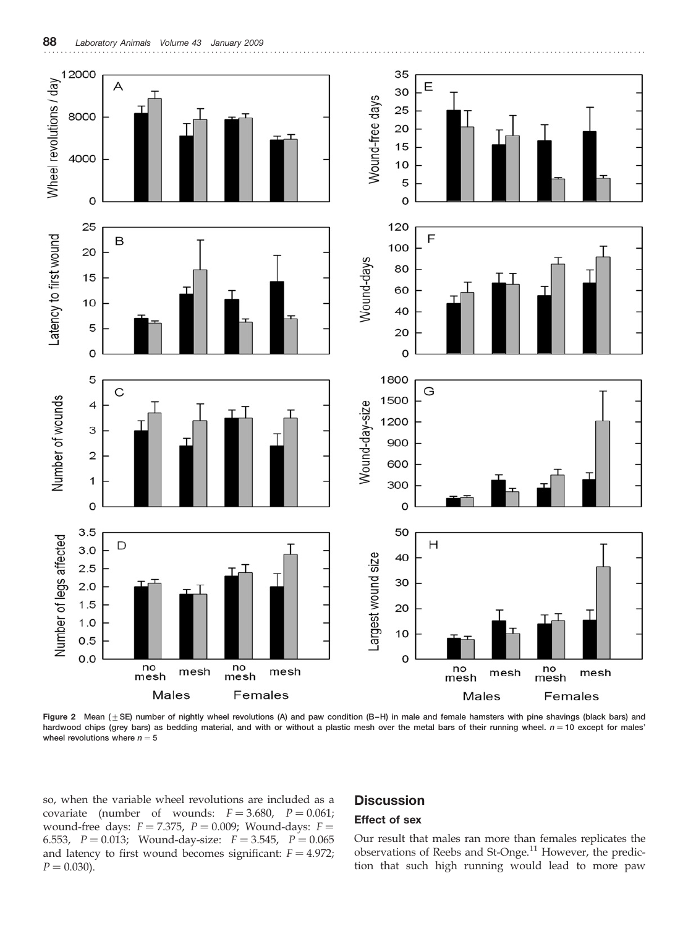

Figure 2 Mean  $(\pm SE)$  number of nightly wheel revolutions (A) and paw condition (B-H) in male and female hamsters with pine shavings (black bars) and hardwood chips (grey bars) as bedding material, and with or without a plastic mesh over the metal bars of their running wheel.  $n = 10$  except for males' wheel revolutions where  $n = 5$ 

so, when the variable wheel revolutions are included as a covariate (number of wounds:  $F = 3.680$ ,  $P = 0.061$ ; wound-free days:  $F = 7.375$ ,  $P = 0.009$ ; Wound-days:  $F =$ 6.553,  $P = 0.013$ ; Wound-day-size:  $F = 3.545$ ,  $P = 0.065$ and latency to first wound becomes significant:  $F = 4.972$ ;  $P = 0.030$ .

# **Discussion**

### Effect of sex

Our result that males ran more than females replicates the observations of Reebs and St-Onge.<sup>11</sup> However, the prediction that such high running would lead to more paw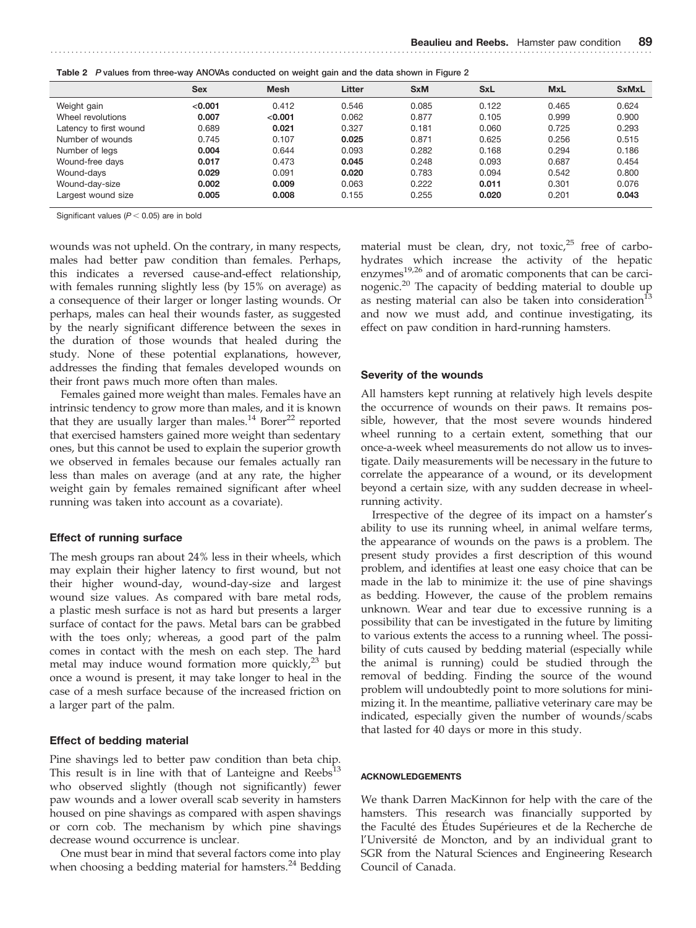| <b>Sex</b> | <b>Mesh</b> | Litter | <b>SxM</b> | <b>SxL</b> | <b>MxL</b> | <b>SxMxL</b> |  |
|------------|-------------|--------|------------|------------|------------|--------------|--|
| < 0.001    | 0.412       | 0.546  | 0.085      | 0.122      | 0.465      | 0.624        |  |
| 0.007      | < 0.001     | 0.062  | 0.877      | 0.105      | 0.999      | 0.900        |  |
| 0.689      | 0.021       | 0.327  | 0.181      | 0.060      | 0.725      | 0.293        |  |
| 0.745      | 0.107       | 0.025  | 0.871      | 0.625      | 0.256      | 0.515        |  |
| 0.004      | 0.644       | 0.093  | 0.282      | 0.168      | 0.294      | 0.186        |  |
| 0.017      | 0.473       | 0.045  | 0.248      | 0.093      | 0.687      | 0.454        |  |
| 0.029      | 0.091       | 0.020  | 0.783      | 0.094      | 0.542      | 0.800        |  |
| 0.002      | 0.009       | 0.063  | 0.222      | 0.011      | 0.301      | 0.076        |  |
| 0.005      | 0.008       | 0.155  | 0.255      | 0.020      | 0.201      | 0.043        |  |
|            |             |        |            |            |            |              |  |

Table 2 P values from three-way ANOVAs conducted on weight gain and the data shown in Figure 2

Significant values ( $P < 0.05$ ) are in bold

wounds was not upheld. On the contrary, in many respects, males had better paw condition than females. Perhaps, this indicates a reversed cause-and-effect relationship, with females running slightly less (by 15% on average) as a consequence of their larger or longer lasting wounds. Or perhaps, males can heal their wounds faster, as suggested by the nearly significant difference between the sexes in the duration of those wounds that healed during the study. None of these potential explanations, however, addresses the finding that females developed wounds on their front paws much more often than males.

Females gained more weight than males. Females have an intrinsic tendency to grow more than males, and it is known that they are usually larger than males.<sup>14</sup> Borer<sup>22</sup> reported that exercised hamsters gained more weight than sedentary ones, but this cannot be used to explain the superior growth we observed in females because our females actually ran less than males on average (and at any rate, the higher weight gain by females remained significant after wheel running was taken into account as a covariate).

#### Effect of running surface

The mesh groups ran about 24% less in their wheels, which may explain their higher latency to first wound, but not their higher wound-day, wound-day-size and largest wound size values. As compared with bare metal rods, a plastic mesh surface is not as hard but presents a larger surface of contact for the paws. Metal bars can be grabbed with the toes only; whereas, a good part of the palm comes in contact with the mesh on each step. The hard metal may induce wound formation more quickly, $^{23}$  but once a wound is present, it may take longer to heal in the case of a mesh surface because of the increased friction on a larger part of the palm.

#### Effect of bedding material

Pine shavings led to better paw condition than beta chip. This result is in line with that of Lanteigne and  $Reebs<sup>13</sup>$ who observed slightly (though not significantly) fewer paw wounds and a lower overall scab severity in hamsters housed on pine shavings as compared with aspen shavings or corn cob. The mechanism by which pine shavings decrease wound occurrence is unclear.

One must bear in mind that several factors come into play when choosing a bedding material for hamsters.<sup>24</sup> Bedding material must be clean, dry, not toxic, $25$  free of carbohydrates which increase the activity of the hepatic enzymes<sup>19,26</sup> and of aromatic components that can be carcinogenic.20 The capacity of bedding material to double up as nesting material can also be taken into consideration<sup>13</sup> and now we must add, and continue investigating, its effect on paw condition in hard-running hamsters.

#### Severity of the wounds

All hamsters kept running at relatively high levels despite the occurrence of wounds on their paws. It remains possible, however, that the most severe wounds hindered wheel running to a certain extent, something that our once-a-week wheel measurements do not allow us to investigate. Daily measurements will be necessary in the future to correlate the appearance of a wound, or its development beyond a certain size, with any sudden decrease in wheelrunning activity.

Irrespective of the degree of its impact on a hamster's ability to use its running wheel, in animal welfare terms, the appearance of wounds on the paws is a problem. The present study provides a first description of this wound problem, and identifies at least one easy choice that can be made in the lab to minimize it: the use of pine shavings as bedding. However, the cause of the problem remains unknown. Wear and tear due to excessive running is a possibility that can be investigated in the future by limiting to various extents the access to a running wheel. The possibility of cuts caused by bedding material (especially while the animal is running) could be studied through the removal of bedding. Finding the source of the wound problem will undoubtedly point to more solutions for minimizing it. In the meantime, palliative veterinary care may be indicated, especially given the number of wounds/scabs that lasted for 40 days or more in this study.

#### ACKNOWLEDGEMENTS

We thank Darren MacKinnon for help with the care of the hamsters. This research was financially supported by the Faculté des Études Supérieures et de la Recherche de l'Université de Moncton, and by an individual grant to SGR from the Natural Sciences and Engineering Research Council of Canada.